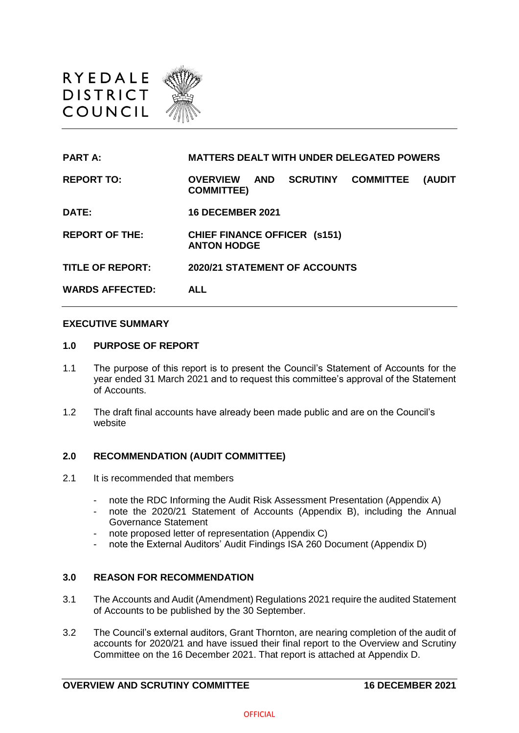

| <b>PART A:</b>          | <b>MATTERS DEALT WITH UNDER DELEGATED POWERS</b>                                                           |
|-------------------------|------------------------------------------------------------------------------------------------------------|
| <b>REPORT TO:</b>       | <b>SCRUTINY</b><br><b>OVERVIEW</b><br><b>COMMITTEE</b><br><b>AND</b><br><b>(AUDIT</b><br><b>COMMITTEE)</b> |
| DATE:                   | <b>16 DECEMBER 2021</b>                                                                                    |
| <b>REPORT OF THE:</b>   | <b>CHIEF FINANCE OFFICER (s151)</b><br><b>ANTON HODGE</b>                                                  |
| <b>TITLE OF REPORT:</b> | <b>2020/21 STATEMENT OF ACCOUNTS</b>                                                                       |
| <b>WARDS AFFECTED:</b>  | <b>ALL</b>                                                                                                 |

#### **EXECUTIVE SUMMARY**

#### **1.0 PURPOSE OF REPORT**

- 1.1 The purpose of this report is to present the Council's Statement of Accounts for the year ended 31 March 2021 and to request this committee's approval of the Statement of Accounts.
- 1.2 The draft final accounts have already been made public and are on the Council's website

#### **2.0 RECOMMENDATION (AUDIT COMMITTEE)**

- 2.1 It is recommended that members
	- note the RDC Informing the Audit Risk Assessment Presentation (Appendix A)
	- note the 2020/21 Statement of Accounts (Appendix B), including the Annual Governance Statement
	- note proposed letter of representation (Appendix C)
	- note the External Auditors' Audit Findings ISA 260 Document (Appendix D)

### **3.0 REASON FOR RECOMMENDATION**

- 3.1 The Accounts and Audit (Amendment) Regulations 2021 require the audited Statement of Accounts to be published by the 30 September.
- 3.2 The Council's external auditors, Grant Thornton, are nearing completion of the audit of accounts for 2020/21 and have issued their final report to the Overview and Scrutiny Committee on the 16 December 2021. That report is attached at Appendix D.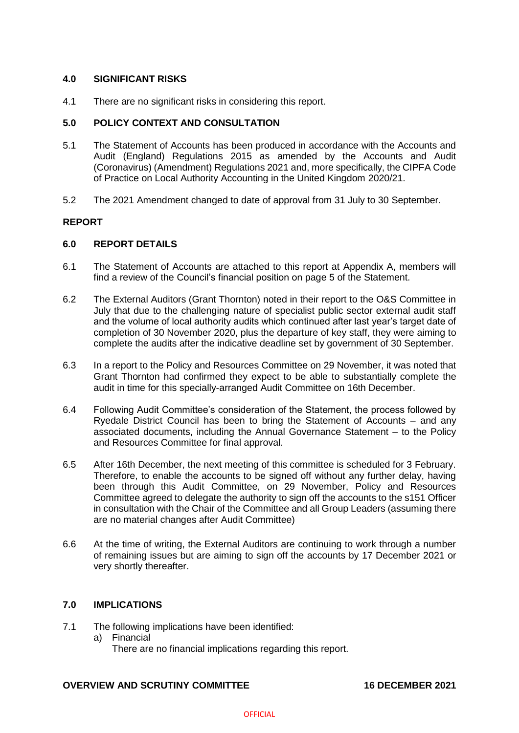## **4.0 SIGNIFICANT RISKS**

4.1 There are no significant risks in considering this report.

## **5.0 POLICY CONTEXT AND CONSULTATION**

- 5.1 The Statement of Accounts has been produced in accordance with the Accounts and Audit (England) Regulations 2015 as amended by the Accounts and Audit (Coronavirus) (Amendment) Regulations 2021 and, more specifically, the CIPFA Code of Practice on Local Authority Accounting in the United Kingdom 2020/21.
- 5.2 The 2021 Amendment changed to date of approval from 31 July to 30 September.

# **REPORT**

### **6.0 REPORT DETAILS**

- 6.1 The Statement of Accounts are attached to this report at Appendix A, members will find a review of the Council's financial position on page 5 of the Statement.
- 6.2 The External Auditors (Grant Thornton) noted in their report to the O&S Committee in July that due to the challenging nature of specialist public sector external audit staff and the volume of local authority audits which continued after last year's target date of completion of 30 November 2020, plus the departure of key staff, they were aiming to complete the audits after the indicative deadline set by government of 30 September.
- 6.3 In a report to the Policy and Resources Committee on 29 November, it was noted that Grant Thornton had confirmed they expect to be able to substantially complete the audit in time for this specially-arranged Audit Committee on 16th December.
- 6.4 Following Audit Committee's consideration of the Statement, the process followed by Ryedale District Council has been to bring the Statement of Accounts – and any associated documents, including the Annual Governance Statement – to the Policy and Resources Committee for final approval.
- 6.5 After 16th December, the next meeting of this committee is scheduled for 3 February. Therefore, to enable the accounts to be signed off without any further delay, having been through this Audit Committee, on 29 November, Policy and Resources Committee agreed to delegate the authority to sign off the accounts to the s151 Officer in consultation with the Chair of the Committee and all Group Leaders (assuming there are no material changes after Audit Committee)
- 6.6 At the time of writing, the External Auditors are continuing to work through a number of remaining issues but are aiming to sign off the accounts by 17 December 2021 or very shortly thereafter.

# **7.0 IMPLICATIONS**

- 7.1 The following implications have been identified:
	- a) Financial
		- There are no financial implications regarding this report.